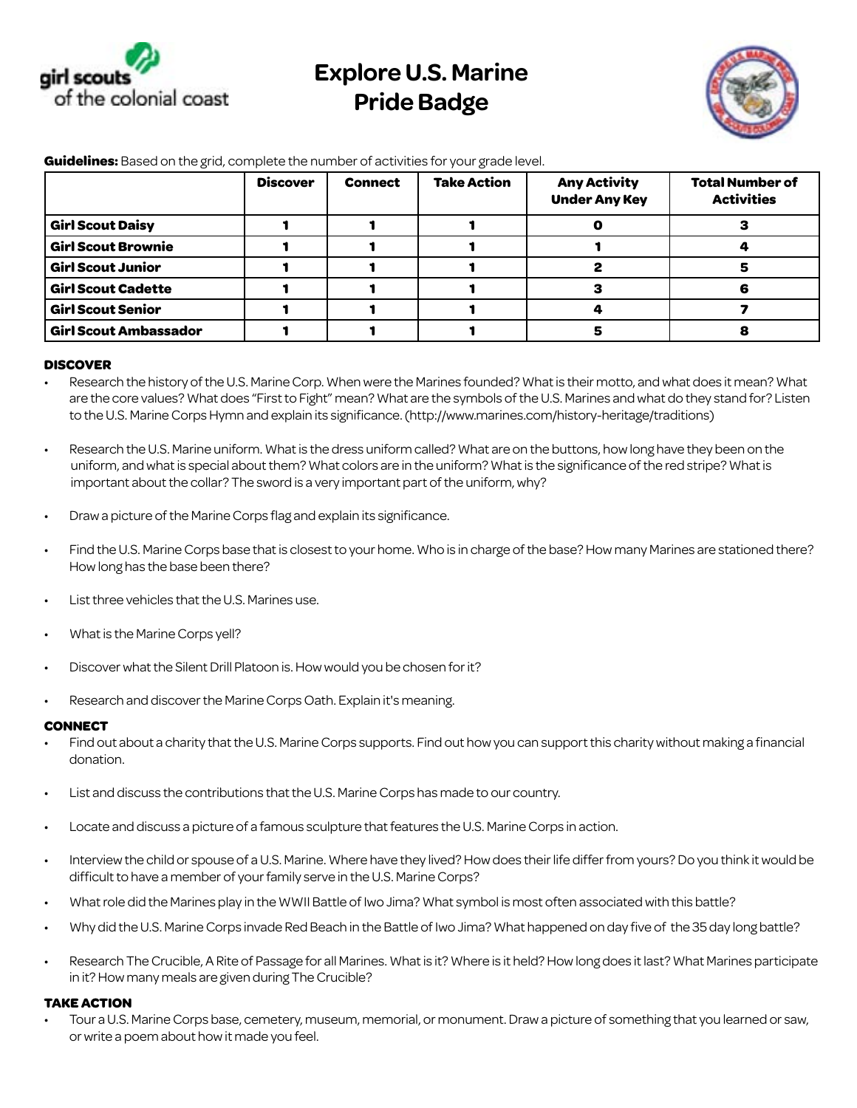

## **Explore U.S. Marine Pride Badge**



|                              | <b>Discover</b> | <b>Connect</b> | <b>Take Action</b> | <b>Any Activity</b><br><b>Under Any Key</b> | <b>Total Number of</b><br><b>Activities</b> |
|------------------------------|-----------------|----------------|--------------------|---------------------------------------------|---------------------------------------------|
| <b>Girl Scout Daisy</b>      |                 |                |                    |                                             |                                             |
| <b>Girl Scout Brownie</b>    |                 |                |                    |                                             |                                             |
| <b>Girl Scout Junior</b>     |                 |                |                    |                                             |                                             |
| <b>Girl Scout Cadette</b>    |                 |                |                    |                                             |                                             |
| <b>Girl Scout Senior</b>     |                 |                |                    |                                             |                                             |
| <b>Girl Scout Ambassador</b> |                 |                |                    |                                             |                                             |

**Guidelines:** Based on the grid, complete the number of activities for your grade level.

## **DISCOVER**

- Research the history of the U.S. Marine Corp. When were the Marines founded? What is their motto, and what does it mean? What are the core values? What does "First to Fight" mean? What are the symbols of the U.S. Marines and what do they stand for? Listen to the U.S. Marine Corps Hymn and explain its significance. (http://www.marines.com/history-heritage/traditions)
- Research the U.S. Marine uniform. What is the dress uniform called? What are on the buttons, how long have they been on the uniform, and what is special about them? What colors are in the uniform? What is the significance of the red stripe? What is important about the collar? The sword is a very important part of the uniform, why?
- Draw a picture of the Marine Corps flag and explain its significance.
- Find the U.S. Marine Corps base that is closest to your home. Who is in charge of the base? How many Marines are stationed there? How long has the base been there?
- List three vehicles that the U.S. Marines use.
- What is the Marine Corps yell?
- Discover what the Silent Drill Platoon is. How would you be chosen for it?
- Research and discover the Marine Corps Oath. Explain it's meaning.

## **CONNECT**

- Find out about a charity that the U.S. Marine Corps supports. Find out how you can support this charity without making a financial donation.
- List and discuss the contributions that the U.S. Marine Corps has made to our country.
- Locate and discuss a picture of a famous sculpture that features the U.S. Marine Corps in action.
- Interview the child or spouse of a U.S. Marine. Where have they lived? How does their life differ from yours? Do you think it would be difficult to have a member of your family serve in the U.S. Marine Corps?
- What role did the Marines play in the WWII Battle of Iwo Jima? What symbol is most often associated with this battle?
- • Why did the U.S. Marine Corps invade Red Beach in the Battle of Iwo Jima? What happened on day five of the 35 day long battle?
- Research The Crucible, A Rite of Passage for all Marines. What is it? Where is it held? How long does it last? What Marines participate in it? How many meals are given during The Crucible?

## **TAKE ACTION**

Tour a U.S. Marine Corps base, cemetery, museum, memorial, or monument. Draw a picture of something that you learned or saw, or write a poem about how it made you feel.